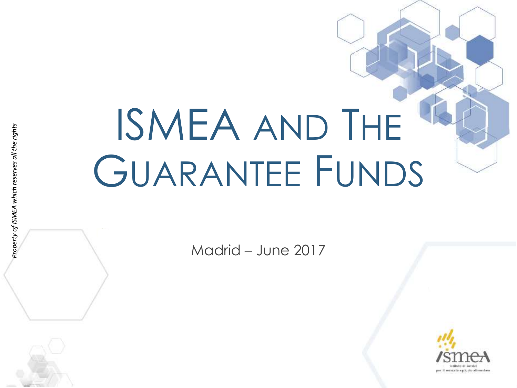# ISMEA AND THE GUARANTEE FUNDS

Madrid – June 2017

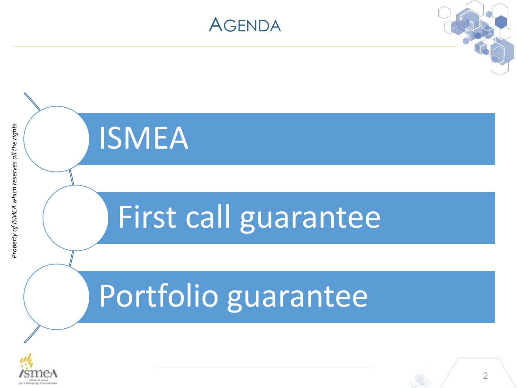#### AGENDA



 $\mathcal{P}$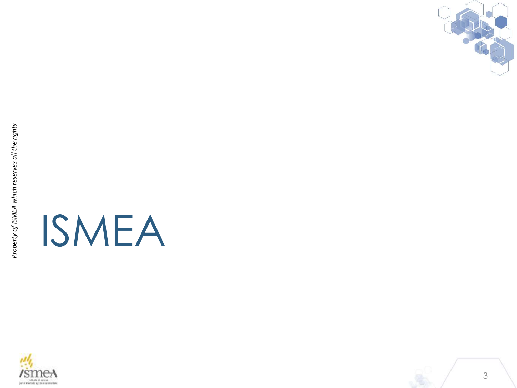



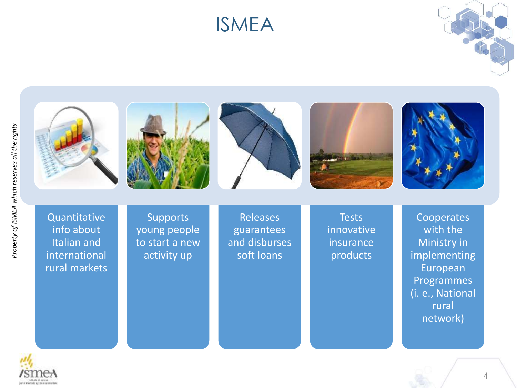#### ISMEA



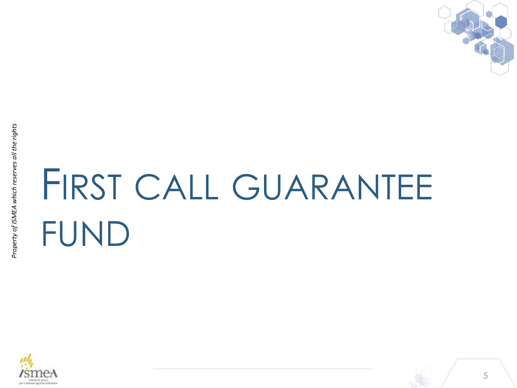## Property of ISMEA which reserves all the rights *Property of ISMEA which reserves all the rights* FIRST CALL GUARANTEE FUND





5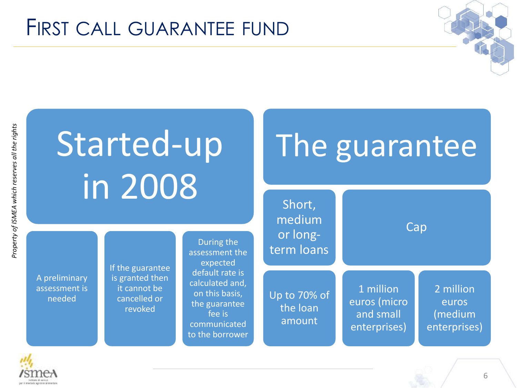## Started-up in 2008 Short,

The guarantee

A preliminary assessment is needed

If the guarantee is granted then it cannot be cancelled or revoked

During the assessment the expected default rate is calculated and, on this basis, the guarantee fee is communicated to the borrower



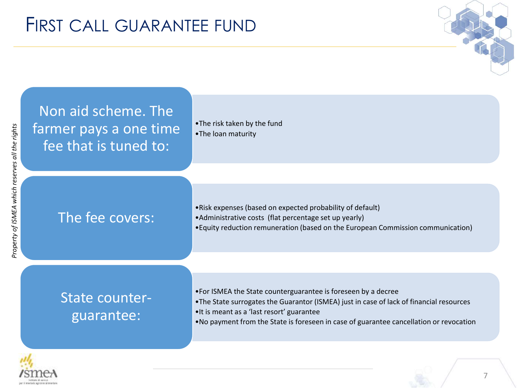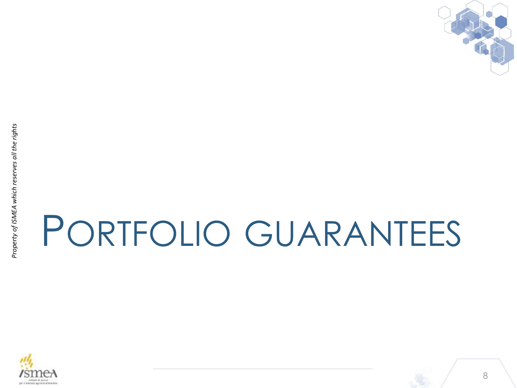

# Property of ISMEA which reserves all the rights *Property of ISMEA which reserves all the rights*

## PORTFOLIO GUARANTEES



8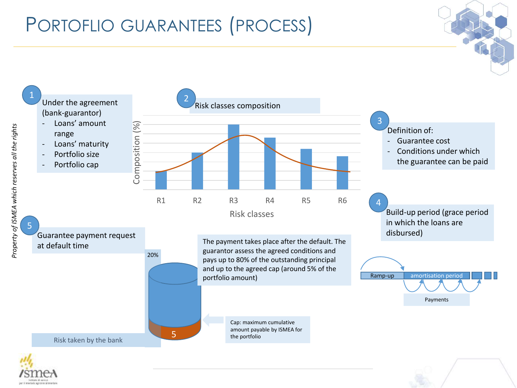#### PORTOFLIO GUARANTEES (PROCESS)

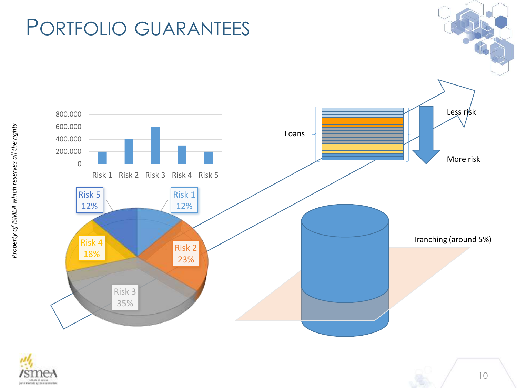#### PORTFOLIO GUARANTEES



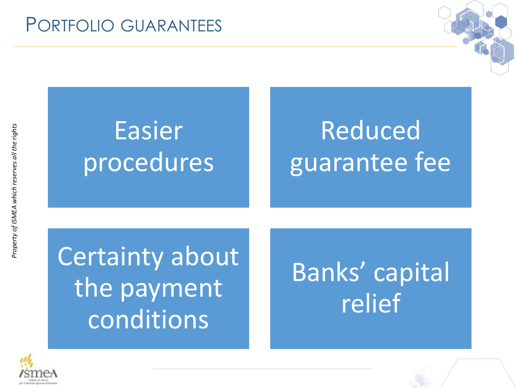

### Easier procedures

## Reduced guarantee fee

Certainty about the payment conditions

## Banks' capital relief